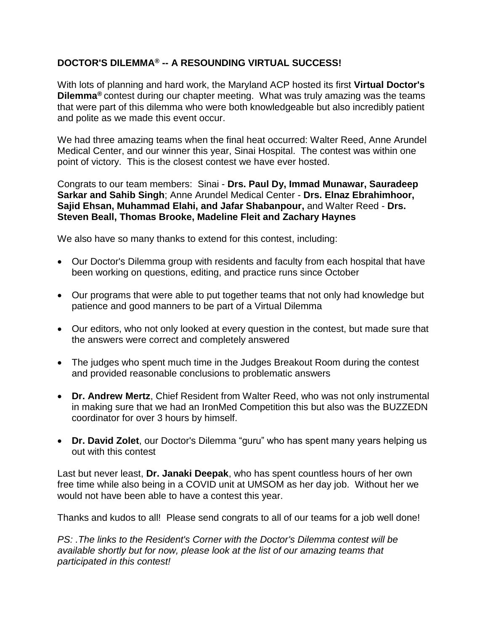## **DOCTOR'S DILEMMA® -- A RESOUNDING VIRTUAL SUCCESS!**

With lots of planning and hard work, the Maryland ACP hosted its first **Virtual Doctor's Dilemma®** contest during our chapter meeting. What was truly amazing was the teams that were part of this dilemma who were both knowledgeable but also incredibly patient and polite as we made this event occur.

We had three amazing teams when the final heat occurred: Walter Reed, Anne Arundel Medical Center, and our winner this year, Sinai Hospital. The contest was within one point of victory. This is the closest contest we have ever hosted.

Congrats to our team members: Sinai - **Drs. Paul Dy, Immad Munawar, Sauradeep Sarkar and Sahib Singh**; Anne Arundel Medical Center - **Drs. Elnaz Ebrahimhoor, Sajid Ehsan, Muhammad Elahi, and Jafar Shabanpour,** and Walter Reed - **Drs. Steven Beall, Thomas Brooke, Madeline Fleit and Zachary Haynes**

We also have so many thanks to extend for this contest, including:

- Our Doctor's Dilemma group with residents and faculty from each hospital that have been working on questions, editing, and practice runs since October
- Our programs that were able to put together teams that not only had knowledge but patience and good manners to be part of a Virtual Dilemma
- Our editors, who not only looked at every question in the contest, but made sure that the answers were correct and completely answered
- The judges who spent much time in the Judges Breakout Room during the contest and provided reasonable conclusions to problematic answers
- **Dr. Andrew Mertz**, Chief Resident from Walter Reed, who was not only instrumental in making sure that we had an IronMed Competition this but also was the BUZZEDN coordinator for over 3 hours by himself.
- **Dr. David Zolet**, our Doctor's Dilemma "guru" who has spent many years helping us out with this contest

Last but never least, **Dr. Janaki Deepak**, who has spent countless hours of her own free time while also being in a COVID unit at UMSOM as her day job. Without her we would not have been able to have a contest this year.

Thanks and kudos to all! Please send congrats to all of our teams for a job well done!

*PS: .The links to the Resident's Corner with the Doctor's Dilemma contest will be available shortly but for now, please look at the list of our amazing teams that participated in this contest!*